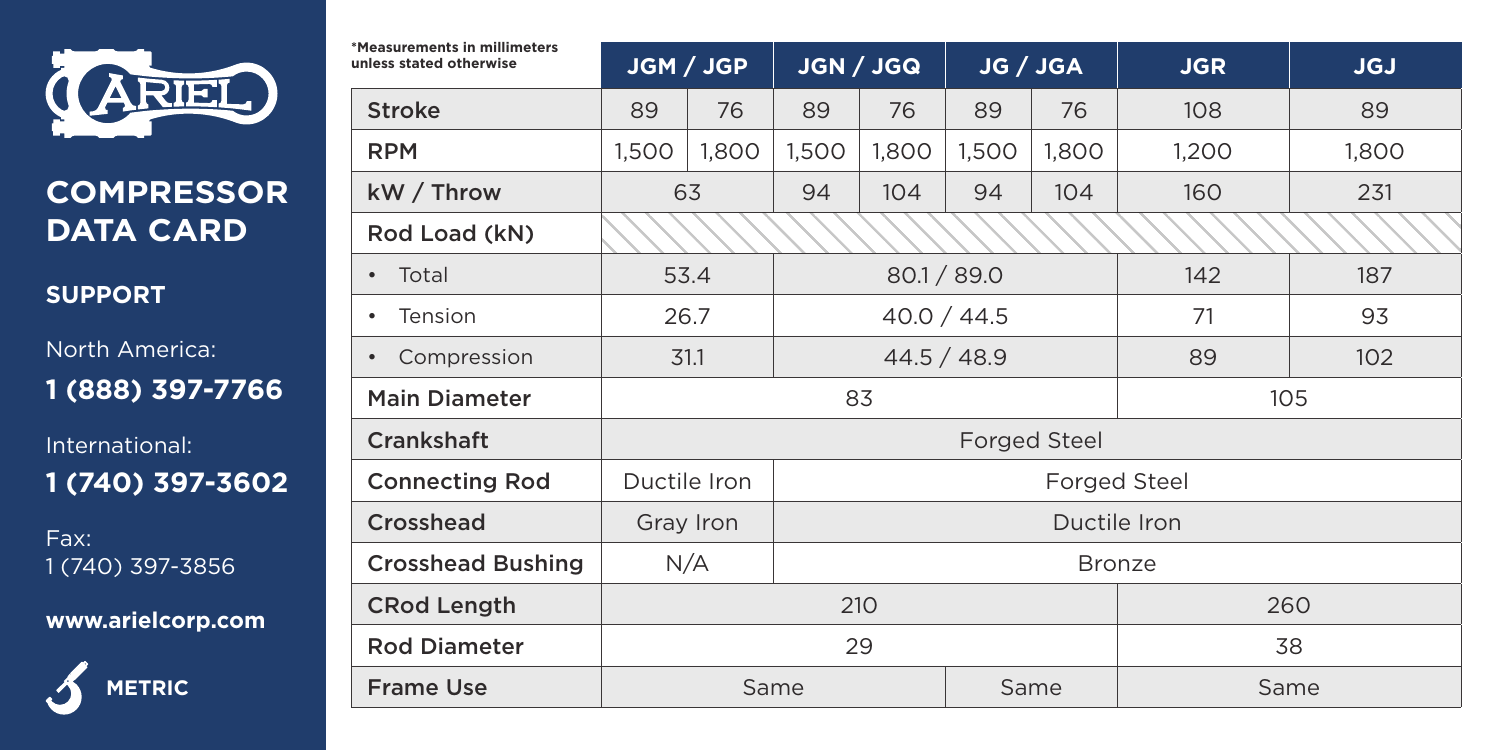

## **COMPRESSOR DATA CARD**

**SUPPORT**

North America: **1 (888) 397-7766**

International: **1 (740) 397-3602**

Fax: 1 (740) 397-3856

**www.arielcorp.com**



| *Measurements in millimeters<br>unless stated otherwise | JGM / JGP                    |                      | JGN / JGQ    |       | JG / JGA     |       | <b>JGR</b> | <b>JGJ</b> |  |  |
|---------------------------------------------------------|------------------------------|----------------------|--------------|-------|--------------|-------|------------|------------|--|--|
| Stroke                                                  | 89                           | 76                   | 89           | 76    | 89           | 76    | 108        | 89         |  |  |
| <b>RPM</b>                                              | 1,500                        | 1,800                | 1,500        | 1,800 | 1,500        | 1,800 | 1,200      | 1,800      |  |  |
| kW / Throw                                              | 63                           |                      | 94           | 104   | 94           | 104   | 160        | 231        |  |  |
| Rod Load (kN)                                           |                              |                      |              |       |              |       |            |            |  |  |
| Total<br>$\bullet$                                      | 53.4                         |                      | 80.1 / 89.0  |       |              |       | 142        | 187        |  |  |
| Tension<br>٠                                            |                              | 26.7                 | 40.0 / 44.5  |       |              |       | 71         | 93         |  |  |
| Compression<br>$\bullet$                                |                              | 31.1                 | 44.5 / 48.9  |       |              |       | 89         | 102        |  |  |
| <b>Main Diameter</b>                                    | 83<br>105                    |                      |              |       |              |       |            |            |  |  |
| Crankshaft                                              | <b>Forged Steel</b>          |                      |              |       |              |       |            |            |  |  |
| <b>Connecting Rod</b>                                   | Ductile Iron<br>Forged Steel |                      |              |       |              |       |            |            |  |  |
| Crosshead                                               |                              | Gray Iron            | Ductile Iron |       |              |       |            |            |  |  |
| <b>Crosshead Bushing</b>                                |                              | N/A<br><b>Bronze</b> |              |       |              |       |            |            |  |  |
| <b>CRod Length</b>                                      | 210                          |                      |              |       | 260          |       |            |            |  |  |
| <b>Rod Diameter</b>                                     | 29                           |                      |              |       |              |       |            | 38         |  |  |
| <b>Frame Use</b>                                        | Same                         |                      |              |       | Same<br>Same |       |            |            |  |  |